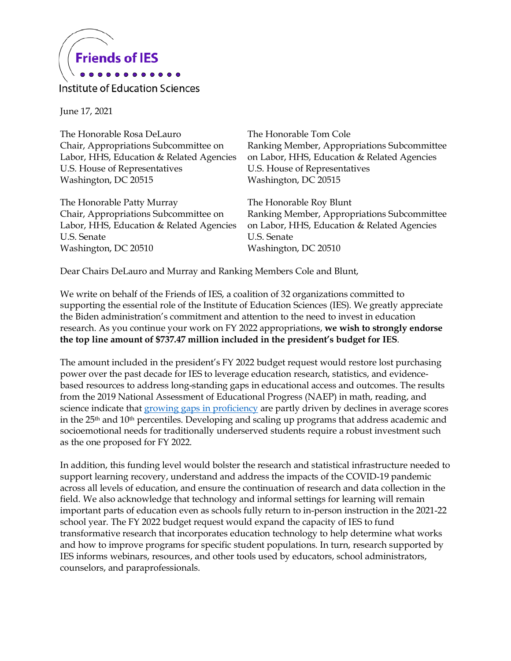

Institute of Education Sciences

June 17, 2021

The Honorable Rosa DeLauro Chair, Appropriations Subcommittee on Labor, HHS, Education & Related Agencies U.S. House of Representatives Washington, DC 20515

The Honorable Patty Murray Chair, Appropriations Subcommittee on Labor, HHS, Education & Related Agencies U.S. Senate Washington, DC 20510

The Honorable Tom Cole Ranking Member, Appropriations Subcommittee on Labor, HHS, Education & Related Agencies U.S. House of Representatives Washington, DC 20515

The Honorable Roy Blunt Ranking Member, Appropriations Subcommittee on Labor, HHS, Education & Related Agencies U.S. Senate Washington, DC 20510

Dear Chairs DeLauro and Murray and Ranking Members Cole and Blunt,

We write on behalf of the Friends of IES, a coalition of 32 organizations committed to supporting the essential role of the Institute of Education Sciences (IES). We greatly appreciate the Biden administration's commitment and attention to the need to invest in education research. As you continue your work on FY 2022 appropriations, **we wish to strongly endorse the top line amount of \$737.47 million included in the president's budget for IES**.

The amount included in the president's FY 2022 budget request would restore lost purchasing power over the past decade for IES to leverage education research, statistics, and evidencebased resources to address long-standing gaps in educational access and outcomes. The results from the 2019 National Assessment of Educational Progress (NAEP) in math, reading, and science indicate tha[t growing gaps in proficiency](https://ies.ed.gov/director/remarks/5-4-2021.asp) are partly driven by declines in average scores in the 25<sup>th</sup> and 10<sup>th</sup> percentiles. Developing and scaling up programs that address academic and socioemotional needs for traditionally underserved students require a robust investment such as the one proposed for FY 2022.

In addition, this funding level would bolster the research and statistical infrastructure needed to support learning recovery, understand and address the impacts of the COVID-19 pandemic across all levels of education, and ensure the continuation of research and data collection in the field. We also acknowledge that technology and informal settings for learning will remain important parts of education even as schools fully return to in-person instruction in the 2021-22 school year. The FY 2022 budget request would expand the capacity of IES to fund transformative research that incorporates education technology to help determine what works and how to improve programs for specific student populations. In turn, research supported by IES informs webinars, resources, and other tools used by educators, school administrators, counselors, and paraprofessionals.